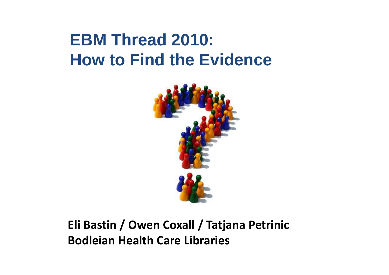#### **EBM Thread 2010: How to Find the Evidence**



#### **Eli Bastin / Owen Coxall / Tatjana Petrinic Bodleian Health Care Libraries**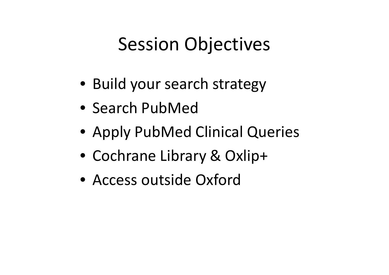## Session Objectives

- Build your search strategy
- Search PubMed
- Apply PubMed Clinical Queries
- Cochrane Library & Oxlip+
- Access outside Oxford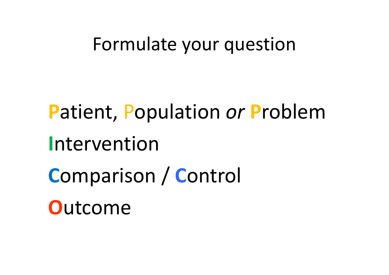#### Formulate your question

**P**atient, Population *or* **P**roblem **I**ntervention **C**omparison / **C**ontrol **O**utcome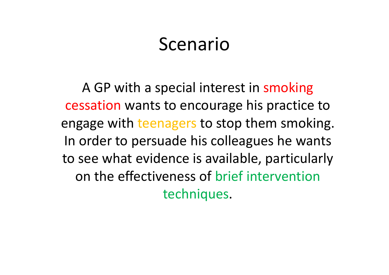#### Scenario

A GP with a special interest in smoking cessation wants to encourage his practice to engage with teenagers to stop them smoking. In order to persuade his colleagues he wants to see what evidence is available, particularly on the effectiveness of brief intervention techniques.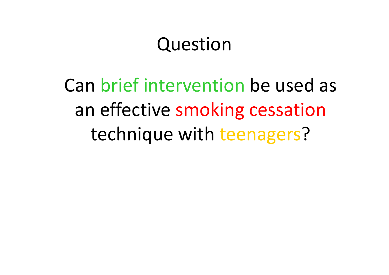#### Question

Can brief intervention be used as an effective smoking cessation technique with teenagers?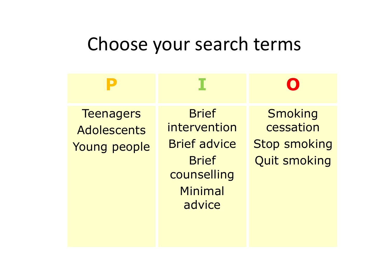## Choose your search terms

| <b>Teenagers</b><br>Adolescents<br>Young people | <b>Brief</b><br>intervention<br><b>Brief advice</b><br><b>Brief</b><br>counselling<br>Minimal<br>advice | Smoking<br>cessation<br><b>Stop smoking</b><br><b>Quit smoking</b> |
|-------------------------------------------------|---------------------------------------------------------------------------------------------------------|--------------------------------------------------------------------|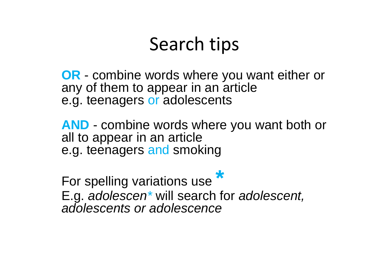## Search tips

**OR** - combine words where you want either or any of them to appear in an article e.g. teenagers or adolescents

**AND** - combine words where you want both or all to appear in an article e.g. teenagers and smoking

For spelling variations use **\*** E.g. *adolescen\** will search for *adolescent, adolescents or adolescence*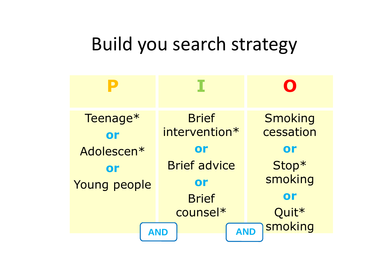## Build you search strategy

| Teenage*<br>or               | <b>Brief</b><br>intervention* | <b>Smoking</b><br>cessation |
|------------------------------|-------------------------------|-----------------------------|
| Adolescen*                   | or                            | or                          |
| or                           | <b>Brief advice</b>           | Stop*                       |
| Young people                 | or                            | smoking                     |
|                              | <b>Brief</b>                  | or                          |
|                              | counsel*                      | Quit <sup>*</sup>           |
| smoking<br><b>AND</b><br>AND |                               |                             |
|                              |                               |                             |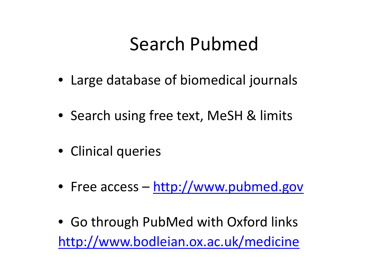## Search Pubmed

- Large database of biomedical journals
- Search using free text, MeSH & limits
- Clinical queries
- Free access http://www.pubmed.gov
- Go through PubMed with Oxford links http://www.bodleian.ox.ac.uk/medicine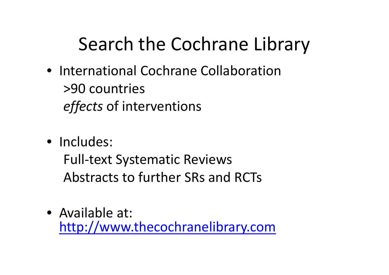# Search the Cochrane Library

- International Cochrane Collaboration >90 countries *effects* of interventions
- Includes:

Full-text Systematic Reviews Abstracts to further SRs and RCTs

• Available at: http://www.thecochranelibrary.com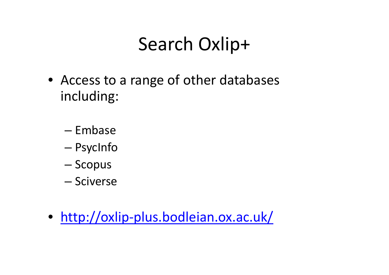# Search Oxlip+

- Access to a range of other databases including:
	- Embase
	- PsycInfo
	- Scopus
	- Sciverse
- http://oxlip-plus.bodleian.ox.ac.uk/